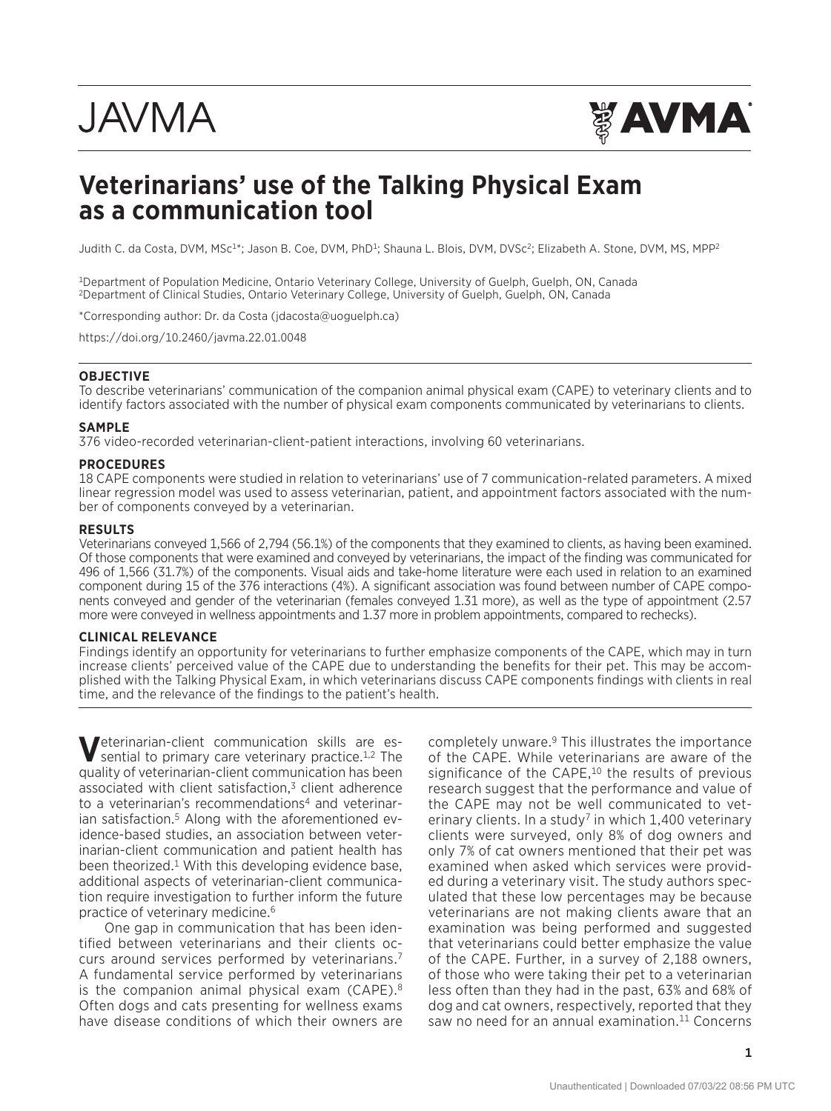# **JAVMA**



## **Veterinarians' use of the Talking Physical Exam as a communication tool**

Judith C. da Costa, DVM, MSc<sup>1\*</sup>; Jason B. Coe, DVM, PhD<sup>1</sup>; Shauna L. Blois, DVM, DVSc<sup>2</sup>; Elizabeth A. Stone, DVM, MS, MPP<sup>2</sup>

1Department of Population Medicine, Ontario Veterinary College, University of Guelph, Guelph, ON, Canada 2Department of Clinical Studies, Ontario Veterinary College, University of Guelph, Guelph, ON, Canada

\*Corresponding author: Dr. da Costa [\(jdacosta@uoguelph.ca\)](mailto:jdacosta@uoguelph.ca)

<https://doi.org/10.2460/javma.22.01.0048>

#### **OBJECTIVE**

To describe veterinarians' communication of the companion animal physical exam (CAPE) to veterinary clients and to identify factors associated with the number of physical exam components communicated by veterinarians to clients.

#### **SAMPLE**

376 video-recorded veterinarian-client-patient interactions, involving 60 veterinarians.

#### **PROCEDURES**

18 CAPE components were studied in relation to veterinarians' use of 7 communication-related parameters. A mixed linear regression model was used to assess veterinarian, patient, and appointment factors associated with the number of components conveyed by a veterinarian.

#### **RESULTS**

Veterinarians conveyed 1,566 of 2,794 (56.1%) of the components that they examined to clients, as having been examined. Of those components that were examined and conveyed by veterinarians, the impact of the finding was communicated for 496 of 1,566 (31.7%) of the components. Visual aids and take-home literature were each used in relation to an examined component during 15 of the 376 interactions (4%). A significant association was found between number of CAPE components conveyed and gender of the veterinarian (females conveyed 1.31 more), as well as the type of appointment (2.57 more were conveyed in wellness appointments and 1.37 more in problem appointments, compared to rechecks).

#### **CLINICAL RELEVANCE**

Findings identify an opportunity for veterinarians to further emphasize components of the CAPE, which may in turn increase clients' perceived value of the CAPE due to understanding the benefits for their pet. This may be accomplished with the Talking Physical Exam, in which veterinarians discuss CAPE components findings with clients in real time, and the relevance of the findings to the patient's health.

**V**eterinarian-client communication skills are espential to primary care veterinary practice.<sup>1,2</sup> The quality of veterinarian-client communication has been associated with client satisfaction, $3$  client adherence to a veterinarian's recommendations<sup>4</sup> and veterinarian satisfaction.<sup>5</sup> Along with the aforementioned evidence-based studies, an association between veterinarian-client communication and patient health has been theorized.<sup>1</sup> With this developing evidence base, additional aspects of veterinarian-client communication require investigation to further inform the future practice of veterinary medicine.6

One gap in communication that has been identified between veterinarians and their clients occurs around services performed by veterinarians.7 A fundamental service performed by veterinarians is the companion animal physical exam (CAPE).<sup>8</sup> Often dogs and cats presenting for wellness exams have disease conditions of which their owners are

completely unware.9 This illustrates the importance of the CAPE. While veterinarians are aware of the significance of the CAPE,<sup>10</sup> the results of previous research suggest that the performance and value of the CAPE may not be well communicated to veterinary clients. In a study<sup>7</sup> in which  $1,400$  veterinary clients were surveyed, only 8% of dog owners and only 7% of cat owners mentioned that their pet was examined when asked which services were provided during a veterinary visit. The study authors speculated that these low percentages may be because veterinarians are not making clients aware that an examination was being performed and suggested that veterinarians could better emphasize the value of the CAPE. Further, in a survey of 2,188 owners, of those who were taking their pet to a veterinarian less often than they had in the past, 63% and 68% of dog and cat owners, respectively, reported that they saw no need for an annual examination.<sup>11</sup> Concerns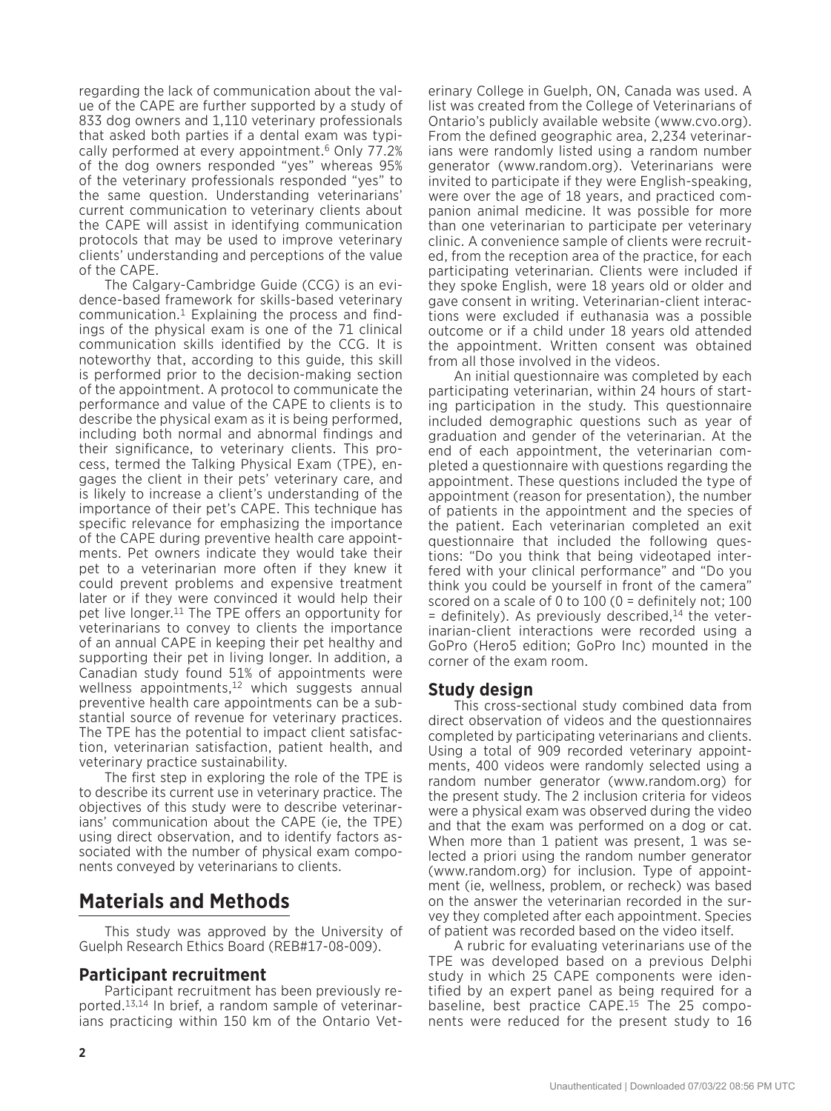regarding the lack of communication about the value of the CAPE are further supported by a study of 833 dog owners and 1,110 veterinary professionals that asked both parties if a dental exam was typically performed at every appointment.6 Only 77.2% of the dog owners responded "yes" whereas 95% of the veterinary professionals responded "yes" to the same question. Understanding veterinarians' current communication to veterinary clients about the CAPE will assist in identifying communication protocols that may be used to improve veterinary clients' understanding and perceptions of the value of the CAPE.

The Calgary-Cambridge Guide (CCG) is an evidence-based framework for skills-based veterinary communication.1 Explaining the process and findings of the physical exam is one of the 71 clinical communication skills identified by the CCG. It is noteworthy that, according to this guide, this skill is performed prior to the decision-making section of the appointment. A protocol to communicate the performance and value of the CAPE to clients is to describe the physical exam as it is being performed, including both normal and abnormal findings and their significance, to veterinary clients. This process, termed the Talking Physical Exam (TPE), engages the client in their pets' veterinary care, and is likely to increase a client's understanding of the importance of their pet's CAPE. This technique has specific relevance for emphasizing the importance of the CAPE during preventive health care appointments. Pet owners indicate they would take their pet to a veterinarian more often if they knew it could prevent problems and expensive treatment later or if they were convinced it would help their pet live longer.11 The TPE offers an opportunity for veterinarians to convey to clients the importance of an annual CAPE in keeping their pet healthy and supporting their pet in living longer. In addition, a Canadian study found 51% of appointments were wellness appointments, $12$  which suggests annual preventive health care appointments can be a substantial source of revenue for veterinary practices. The TPE has the potential to impact client satisfaction, veterinarian satisfaction, patient health, and veterinary practice sustainability.

The first step in exploring the role of the TPE is to describe its current use in veterinary practice. The objectives of this study were to describe veterinarians' communication about the CAPE (ie, the TPE) using direct observation, and to identify factors associated with the number of physical exam components conveyed by veterinarians to clients.

## **Materials and Methods**

This study was approved by the University of Guelph Research Ethics Board (REB#17-08-009).

#### **Participant recruitment**

Participant recruitment has been previously reported.13,14 In brief, a random sample of veterinarians practicing within 150 km of the Ontario Vet-

erinary College in Guelph, ON, Canada was used. A list was created from the College of Veterinarians of Ontario's publicly available website (www.cvo.org). From the defined geographic area, 2,234 veterinarians were randomly listed using a random number generator (www.random.org). Veterinarians were invited to participate if they were English-speaking, were over the age of 18 years, and practiced companion animal medicine. It was possible for more than one veterinarian to participate per veterinary clinic. A convenience sample of clients were recruited, from the reception area of the practice, for each participating veterinarian. Clients were included if they spoke English, were 18 years old or older and gave consent in writing. Veterinarian-client interactions were excluded if euthanasia was a possible outcome or if a child under 18 years old attended the appointment. Written consent was obtained from all those involved in the videos.

An initial questionnaire was completed by each participating veterinarian, within 24 hours of starting participation in the study. This questionnaire included demographic questions such as year of graduation and gender of the veterinarian. At the end of each appointment, the veterinarian completed a questionnaire with questions regarding the appointment. These questions included the type of appointment (reason for presentation), the number of patients in the appointment and the species of the patient. Each veterinarian completed an exit questionnaire that included the following questions: "Do you think that being videotaped interfered with your clinical performance" and "Do you think you could be yourself in front of the camera" scored on a scale of 0 to 100 (0 = definitely not; 100  $=$  definitely). As previously described,<sup>14</sup> the veterinarian-client interactions were recorded using a GoPro (Hero5 edition; GoPro Inc) mounted in the corner of the exam room.

#### **Study design**

This cross-sectional study combined data from direct observation of videos and the questionnaires completed by participating veterinarians and clients. Using a total of 909 recorded veterinary appointments, 400 videos were randomly selected using a random number generator (www.random.org) for the present study. The 2 inclusion criteria for videos were a physical exam was observed during the video and that the exam was performed on a dog or cat. When more than 1 patient was present, 1 was selected a priori using the random number generator (www.random.org) for inclusion. Type of appointment (ie, wellness, problem, or recheck) was based on the answer the veterinarian recorded in the survey they completed after each appointment. Species of patient was recorded based on the video itself.

A rubric for evaluating veterinarians use of the TPE was developed based on a previous Delphi study in which 25 CAPE components were identified by an expert panel as being required for a baseline, best practice CAPE.15 The 25 components were reduced for the present study to 16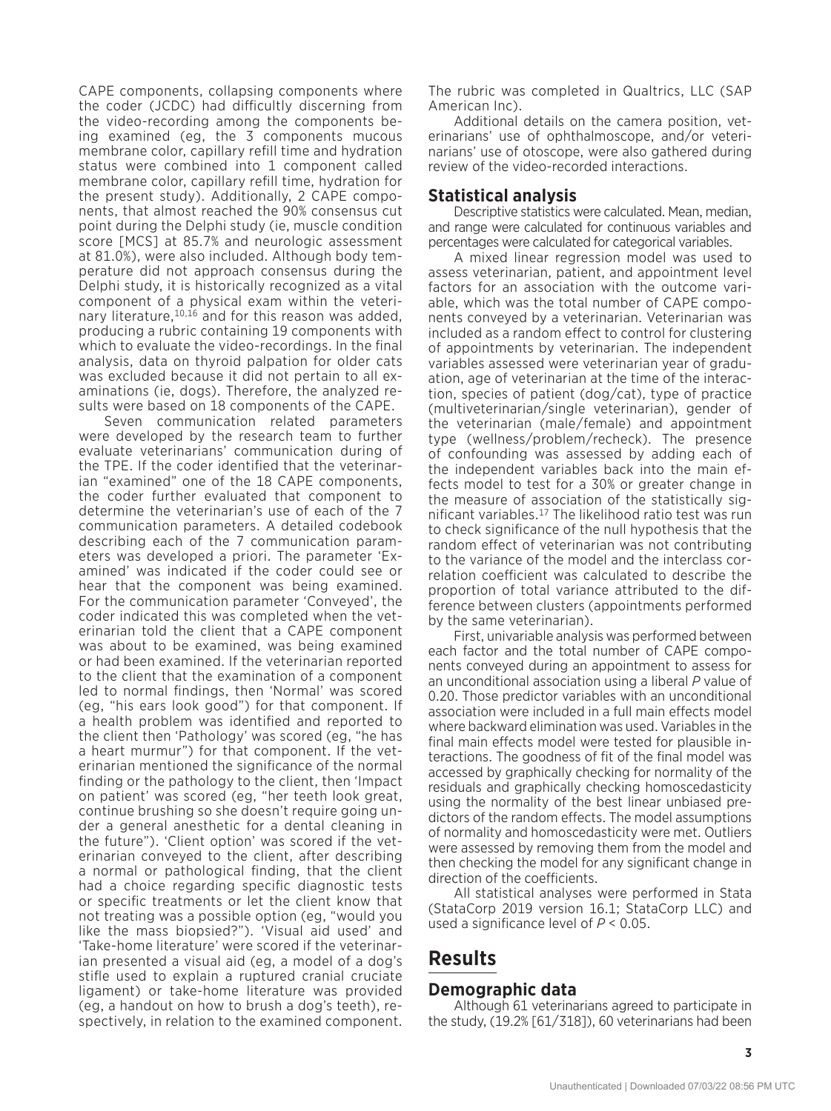CAPE components, collapsing components where the coder (JCDC) had difficultly discerning from the video-recording among the components being examined (eg, the 3 components mucous membrane color, capillary refill time and hydration status were combined into 1 component called membrane color, capillary refill time, hydration for the present study). Additionally, 2 CAPE components, that almost reached the 90% consensus cut point during the Delphi study (ie, muscle condition score [MCS] at 85.7% and neurologic assessment at 81.0%), were also included. Although body temperature did not approach consensus during the Delphi study, it is historically recognized as a vital component of a physical exam within the veterinary literature, 10,16 and for this reason was added, producing a rubric containing 19 components with which to evaluate the video-recordings. In the final analysis, data on thyroid palpation for older cats was excluded because it did not pertain to all examinations (ie, dogs). Therefore, the analyzed results were based on 18 components of the CAPE.

Seven communication related parameters were developed by the research team to further evaluate veterinarians' communication during of the TPE. If the coder identified that the veterinarian "examined" one of the 18 CAPE components, the coder further evaluated that component to determine the veterinarian's use of each of the 7 communication parameters. A detailed codebook describing each of the 7 communication parameters was developed a priori. The parameter 'Examined' was indicated if the coder could see or hear that the component was being examined. For the communication parameter 'Conveyed', the coder indicated this was completed when the veterinarian told the client that a CAPE component was about to be examined, was being examined or had been examined. If the veterinarian reported to the client that the examination of a component led to normal findings, then 'Normal' was scored (eg, "his ears look good") for that component. If a health problem was identified and reported to the client then 'Pathology' was scored (eg, "he has a heart murmur") for that component. If the veterinarian mentioned the significance of the normal finding or the pathology to the client, then 'Impact on patient' was scored (eg, "her teeth look great, continue brushing so she doesn't require going under a general anesthetic for a dental cleaning in the future"). 'Client option' was scored if the veterinarian conveyed to the client, after describing a normal or pathological finding, that the client had a choice regarding specific diagnostic tests or specific treatments or let the client know that not treating was a possible option (eg, "would you like the mass biopsied?"). 'Visual aid used' and 'Take-home literature' were scored if the veterinarian presented a visual aid (eg, a model of a dog's stifle used to explain a ruptured cranial cruciate ligament) or take-home literature was provided (eg, a handout on how to brush a dog's teeth), respectively, in relation to the examined component. The rubric was completed in Qualtrics, LLC (SAP American Inc).

Additional details on the camera position, veterinarians' use of ophthalmoscope, and/or veterinarians' use of otoscope, were also gathered during review of the video-recorded interactions.

#### **Statistical analysis**

Descriptive statistics were calculated. Mean, median, and range were calculated for continuous variables and percentages were calculated for categorical variables.

A mixed linear regression model was used to assess veterinarian, patient, and appointment level factors for an association with the outcome variable, which was the total number of CAPE components conveyed by a veterinarian. Veterinarian was included as a random effect to control for clustering of appointments by veterinarian. The independent variables assessed were veterinarian year of graduation, age of veterinarian at the time of the interaction, species of patient (dog/cat), type of practice (multiveterinarian/single veterinarian), gender of the veterinarian (male/female) and appointment type (wellness/problem/recheck). The presence of confounding was assessed by adding each of the independent variables back into the main effects model to test for a 30% or greater change in the measure of association of the statistically significant variables.17 The likelihood ratio test was run to check significance of the null hypothesis that the random effect of veterinarian was not contributing to the variance of the model and the interclass correlation coefficient was calculated to describe the proportion of total variance attributed to the difference between clusters (appointments performed by the same veterinarian).

First, univariable analysis was performed between each factor and the total number of CAPE components conveyed during an appointment to assess for an unconditional association using a liberal *P* value of 0.20. Those predictor variables with an unconditional association were included in a full main effects model where backward elimination was used. Variables in the final main effects model were tested for plausible interactions. The goodness of fit of the final model was accessed by graphically checking for normality of the residuals and graphically checking homoscedasticity using the normality of the best linear unbiased predictors of the random effects. The model assumptions of normality and homoscedasticity were met. Outliers were assessed by removing them from the model and then checking the model for any significant change in direction of the coefficients.

All statistical analyses were performed in Stata (StataCorp 2019 version 16.1; StataCorp LLC) and used a significance level of *P* < 0.05.

## **Results**

#### **Demographic data**

Although 61 veterinarians agreed to participate in the study, (19.2% [61/318]), 60 veterinarians had been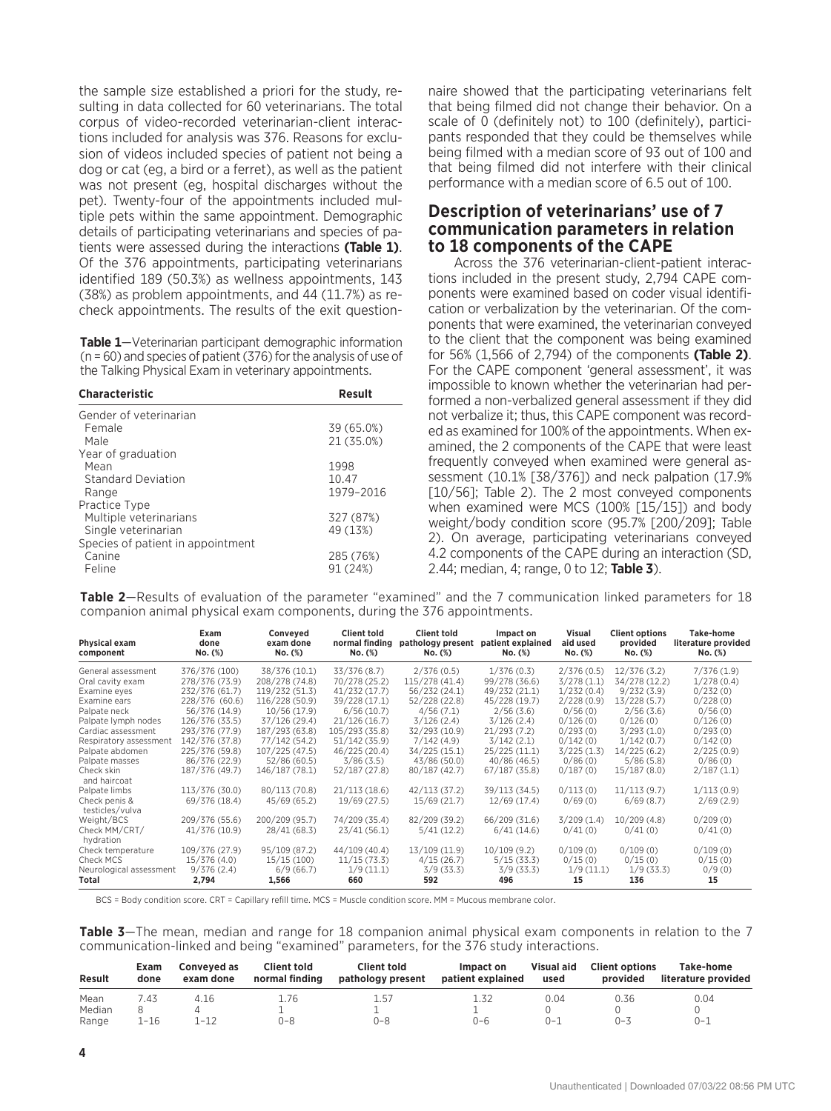the sample size established a priori for the study, resulting in data collected for 60 veterinarians. The total corpus of video-recorded veterinarian-client interactions included for analysis was 376. Reasons for exclusion of videos included species of patient not being a dog or cat (eg, a bird or a ferret), as well as the patient was not present (eg, hospital discharges without the pet). Twenty-four of the appointments included multiple pets within the same appointment. Demographic details of participating veterinarians and species of patients were assessed during the interactions **(Table 1)**. Of the 376 appointments, participating veterinarians identified 189 (50.3%) as wellness appointments, 143 (38%) as problem appointments, and 44 (11.7%) as recheck appointments. The results of the exit question-

**Table 1**—Veterinarian participant demographic information (n = 60) and species of patient (376) for the analysis of use of the Talking Physical Exam in veterinary appointments.

| <b>Characteristic</b>             | Result     |
|-----------------------------------|------------|
| Gender of veterinarian            |            |
| Female                            | 39 (65.0%) |
| Male                              | 21 (35.0%) |
| Year of graduation                |            |
| Mean                              | 1998       |
| <b>Standard Deviation</b>         | 10.47      |
| Range                             | 1979-2016  |
| Practice Type                     |            |
| Multiple veterinarians            | 327 (87%)  |
| Single veterinarian               | 49 (13%)   |
| Species of patient in appointment |            |
| Canine                            | 285 (76%)  |
| Feline                            | 91 (24%)   |

naire showed that the participating veterinarians felt that being filmed did not change their behavior. On a scale of 0 (definitely not) to 100 (definitely), participants responded that they could be themselves while being filmed with a median score of 93 out of 100 and that being filmed did not interfere with their clinical performance with a median score of 6.5 out of 100.

#### **Description of veterinarians' use of 7 communication parameters in relation to 18 components of the CAPE**

Across the 376 veterinarian-client-patient interactions included in the present study, 2,794 CAPE components were examined based on coder visual identification or verbalization by the veterinarian. Of the components that were examined, the veterinarian conveyed to the client that the component was being examined for 56% (1,566 of 2,794) of the components **(Table 2)**. For the CAPE component 'general assessment', it was impossible to known whether the veterinarian had performed a non-verbalized general assessment if they did not verbalize it; thus, this CAPE component was recorded as examined for 100% of the appointments. When examined, the 2 components of the CAPE that were least frequently conveyed when examined were general assessment (10.1% [38/376]) and neck palpation (17.9% [10/56]; Table 2). The 2 most conveyed components when examined were MCS (100% [15/15]) and body weight/body condition score (95.7% [200/209]; Table 2). On average, participating veterinarians conveyed 4.2 components of the CAPE during an interaction (SD, 2.44; median, 4; range, 0 to 12; **Table 3**).

**Table 2**—Results of evaluation of the parameter "examined" and the 7 communication linked parameters for 18 companion animal physical exam components, during the 376 appointments.

| Physical exam<br>component       | Exam<br>done<br>No. (%) | Conveyed<br>exam done<br>No. (%) | <b>Client told</b><br>normal finding<br>No. (%) | <b>Client told</b><br>pathology present<br>No. (%) | Impact on<br>patient explained<br>No. (%) | Visual<br>aid used<br>$No.$ $(\%)$ | <b>Client options</b><br>provided<br>No. (%) | Take-home<br>literature provided<br>No. (%) |
|----------------------------------|-------------------------|----------------------------------|-------------------------------------------------|----------------------------------------------------|-------------------------------------------|------------------------------------|----------------------------------------------|---------------------------------------------|
| General assessment               | 376/376 (100)           | 38/376 (10.1)                    | 33/376(8.7)                                     | 2/376(0.5)                                         | 1/376(0.3)                                | 2/376(0.5)                         | 12/376(3.2)                                  | 7/376(1.9)                                  |
| Oral cavity exam                 | 278/376 (73.9)          | 208/278 (74.8)                   | 70/278 (25.2)                                   | 115/278 (41.4)                                     | 99/278 (36.6)                             | 3/278(1.1)                         | 34/278 (12.2)                                | 1/278(0.4)                                  |
| Examine eyes                     | 232/376 (61.7)          | 119/232 (51.3)                   | 41/232(17.7)                                    | 56/232 (24.1)                                      | 49/232 (21.1)                             | 1/232(0.4)                         | 9/232(3.9)                                   | 0/232(0)                                    |
| <b>Examine ears</b>              | 228/376 (60.6)          | 116/228 (50.9)                   | 39/228 (17.1)                                   | 52/228 (22.8)                                      | 45/228 (19.7)                             | 2/228(0.9)                         | 13/228(5.7)                                  | 0/228(0)                                    |
| Palpate neck                     | 56/376 (14.9)           | 10/56(17.9)                      | 6/56(10.7)                                      | 4/56(7.1)                                          | 2/56(3.6)                                 | 0/56(0)                            | 2/56(3.6)                                    | 0/56(0)                                     |
| Palpate lymph nodes              | 126/376 (33.5)          | 37/126 (29.4)                    | 21/126(16.7)                                    | 3/126(2.4)                                         | 3/126(2.4)                                | 0/126(0)                           | 0/126(0)                                     | 0/126(0)                                    |
| Cardiac assessment               | 293/376 (77.9)          | 187/293 (63.8)                   | 105/293 (35.8)                                  | 32/293 (10.9)                                      | 21/293(7.2)                               | 0/293(0)                           | 3/293(1.0)                                   | 0/293(0)                                    |
| Respiratory assessment           | 142/376 (37.8)          | 77/142 (54.2)                    | 51/142 (35.9)                                   | 7/142(4.9)                                         | 3/142(2.1)                                | 0/142(0)                           | 1/142(0.7)                                   | 0/142(0)                                    |
| Palpate abdomen                  | 225/376 (59.8)          | 107/225 (47.5)                   | 46/225 (20.4)                                   | 34/225 (15.1)                                      | 25/225(11.1)                              | 3/225(1.3)                         | 14/225 (6.2)                                 | 2/225(0.9)                                  |
| Palpate masses                   | 86/376 (22.9)           | 52/86(60.5)                      | 3/86(3.5)                                       | 43/86 (50.0)                                       | 40/86(46.5)                               | 0/86(0)                            | 5/86(5.8)                                    | 0/86(0)                                     |
| Check skin<br>and haircoat       | 187/376 (49.7)          | 146/187 (78.1)                   | 52/187(27.8)                                    | 80/187(42.7)                                       | 67/187 (35.8)                             | 0/187(0)                           | 15/187(8.0)                                  | 2/187(1.1)                                  |
| Palpate limbs                    | 113/376 (30.0)          | 80/113 (70.8)                    | 21/113(18.6)                                    | 42/113(37.2)                                       | 39/113(34.5)                              | 0/113(0)                           | 11/113(9.7)                                  | 1/113(0.9)                                  |
| Check penis &<br>testicles/vulva | 69/376 (18.4)           | 45/69 (65.2)                     | 19/69(27.5)                                     | 15/69(21.7)                                        | 12/69(17.4)                               | 0/69(0)                            | 6/69(8.7)                                    | 2/69(2.9)                                   |
| Weight/BCS                       | 209/376 (55.6)          | 200/209 (95.7)                   | 74/209 (35.4)                                   | 82/209 (39.2)                                      | 66/209 (31.6)                             | 3/209(1.4)                         | 10/209 (4.8)                                 | 0/209(0)                                    |
| Check MM/CRT/<br>hydration       | 41/376 (10.9)           | 28/41 (68.3)                     | 23/41(56.1)                                     | 5/41(12.2)                                         | 6/41(14.6)                                | 0/41(0)                            | 0/41(0)                                      | 0/41(0)                                     |
| Check temperature                | 109/376 (27.9)          | 95/109 (87.2)                    | 44/109 (40.4)                                   | 13/109(11.9)                                       | 10/109(9.2)                               | 0/109(0)                           | 0/109(0)                                     | 0/109(0)                                    |
| Check MCS                        | 15/376(4.0)             | 15/15(100)                       | 11/15(73.3)                                     | 4/15(26.7)                                         | 5/15(33.3)                                | 0/15(0)                            | 0/15(0)                                      | 0/15(0)                                     |
| Neurological assessment          | 9/376(2.4)              | 6/9(66.7)                        | 1/9(11.1)                                       | 3/9(33.3)                                          | 3/9(33.3)                                 | 1/9(11.1)                          | 1/9(33.3)                                    | 0/9(0)                                      |
| Total                            | 2,794                   | 1,566                            | 660                                             | 592                                                | 496                                       | 15                                 | 136                                          | 15                                          |

BCS = Body condition score. CRT = Capillary refill time. MCS = Muscle condition score. MM = Mucous membrane color.

**Table 3**—The mean, median and range for 18 companion animal physical exam components in relation to the 7 communication-linked and being "examined" parameters, for the 376 study interactions.

| <b>Result</b> | Exam<br>done | Conveved as<br>exam done | <b>Client told</b><br>normal finding | <b>Client told</b><br>pathology present | Impact on<br>patient explained | Visual aid<br>used | <b>Client options</b><br>provided | Take-home<br>literature provided |
|---------------|--------------|--------------------------|--------------------------------------|-----------------------------------------|--------------------------------|--------------------|-----------------------------------|----------------------------------|
| Mean          | 7.43         | 4.16                     | 1.76                                 | 1.57                                    | 1.32                           | 0.04               | 0.36                              | 0.04                             |
| Median        |              |                          |                                      |                                         |                                |                    |                                   |                                  |
| Range         | 1-16         | 1-12                     | $0 - 8$                              | 0-8                                     | $0 - 6$                        | ()—                | $0 - 3$                           | $0 - 1$                          |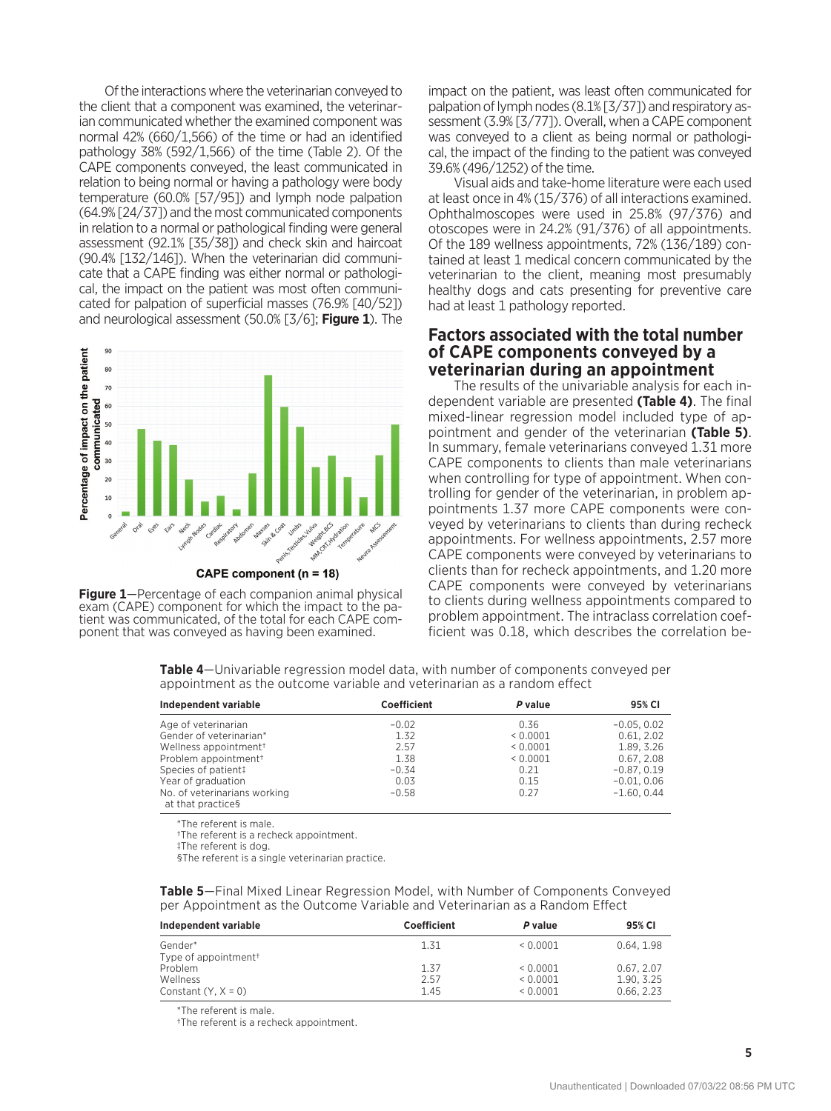Of the interactions where the veterinarian conveyed to the client that a component was examined, the veterinarian communicated whether the examined component was normal 42% (660/1,566) of the time or had an identified pathology 38% (592/1,566) of the time (Table 2). Of the CAPE components conveyed, the least communicated in relation to being normal or having a pathology were body temperature (60.0% [57/95]) and lymph node palpation (64.9% [24/37]) and the most communicated components in relation to a normal or pathological finding were general assessment (92.1% [35/38]) and check skin and haircoat (90.4% [132/146]). When the veterinarian did communicate that a CAPE finding was either normal or pathological, the impact on the patient was most often communicated for palpation of superficial masses (76.9% [40/52]) and neurological assessment (50.0% [3/6]; **Figure 1**). The



**Figure 1**—Percentage of each companion animal physical exam (CAPE) component for which the impact to the patient was communicated, of the total for each CAPE component that was conveyed as having been examined.

impact on the patient, was least often communicated for palpation of lymph nodes (8.1% [3/37]) and respiratory assessment (3.9% [3/77]). Overall, when a CAPE component was conveyed to a client as being normal or pathological, the impact of the finding to the patient was conveyed 39.6% (496/1252) of the time.

Visual aids and take-home literature were each used at least once in 4% (15/376) of all interactions examined. Ophthalmoscopes were used in 25.8% (97/376) and otoscopes were in 24.2% (91/376) of all appointments. Of the 189 wellness appointments, 72% (136/189) contained at least 1 medical concern communicated by the veterinarian to the client, meaning most presumably healthy dogs and cats presenting for preventive care had at least 1 pathology reported.

#### **Factors associated with the total number of CAPE components conveyed by a veterinarian during an appointment**

The results of the univariable analysis for each independent variable are presented **(Table 4)**. The final mixed-linear regression model included type of appointment and gender of the veterinarian **(Table 5)**. In summary, female veterinarians conveyed 1.31 more CAPE components to clients than male veterinarians when controlling for type of appointment. When controlling for gender of the veterinarian, in problem appointments 1.37 more CAPE components were conveyed by veterinarians to clients than during recheck appointments. For wellness appointments, 2.57 more CAPE components were conveyed by veterinarians to clients than for recheck appointments, and 1.20 more CAPE components were conveyed by veterinarians to clients during wellness appointments compared to problem appointment. The intraclass correlation coefficient was 0.18, which describes the correlation be-

**Table 4**—Univariable regression model data, with number of components conveyed per appointment as the outcome variable and veterinarian as a random effect

| Independent variable                              | Coefficient | P value  | 95% CI        |
|---------------------------------------------------|-------------|----------|---------------|
| Age of veterinarian                               | $-0.02$     | 0.36     | $-0.05, 0.02$ |
| Gender of veterinarian*                           | 1.32        | 0.0001   | 0.61, 2.02    |
| Wellness appointment <sup>+</sup>                 | 2.57        | < 0.0001 | 1.89. 3.26    |
| Problem appointment <sup>+</sup>                  | 1.38        | < 0.0001 | 0.67, 2.08    |
| Species of patient!                               | $-0.34$     | 0.21     | $-0.87, 0.19$ |
| Year of graduation                                | 0.03        | 0.15     | $-0.01, 0.06$ |
| No. of veterinarians working<br>at that practices | $-0.58$     | 0.27     | $-1.60.0.44$  |

\*The referent is male.

†The referent is a recheck appointment.

‡The referent is dog.

§The referent is a single veterinarian practice.

**Table 5**—Final Mixed Linear Regression Model, with Number of Components Conveyed per Appointment as the Outcome Variable and Veterinarian as a Random Effect

| Independent variable             | Coefficient | P value | 95% CI     |
|----------------------------------|-------------|---------|------------|
| Gender*                          | 1.31        | 0.0001  | 0.64.1.98  |
| Type of appointment <sup>+</sup> |             |         |            |
| Problem                          | 1.37        | 0.0001  | 0.67.2.07  |
| Wellness                         | 2.57        | 0.0001  | 1.90, 3.25 |
| Constant $(Y, X = 0)$            | 1.45        | 0.0001  | 0.66.2.23  |

\*The referent is male.

†The referent is a recheck appointment.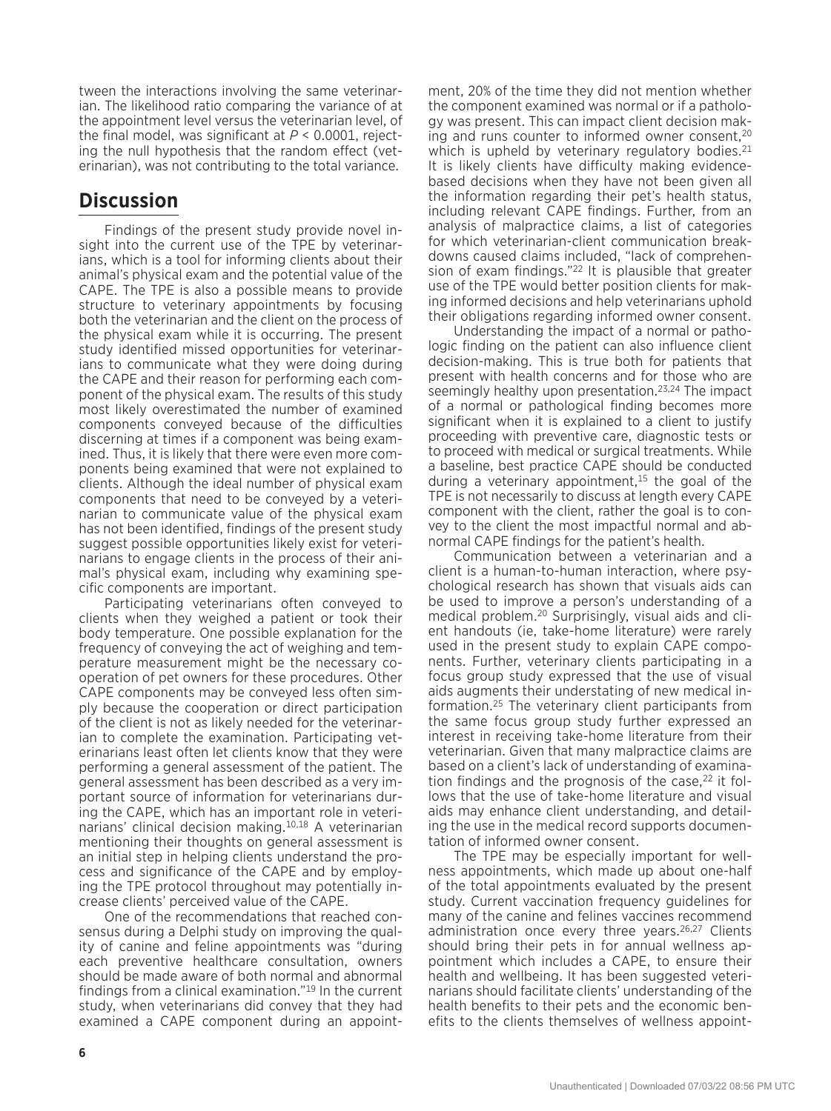tween the interactions involving the same veterinarian. The likelihood ratio comparing the variance of at the appointment level versus the veterinarian level, of the final model, was significant at *P* < 0.0001, rejecting the null hypothesis that the random effect (veterinarian), was not contributing to the total variance.

## **Discussion**

Findings of the present study provide novel insight into the current use of the TPE by veterinarians, which is a tool for informing clients about their animal's physical exam and the potential value of the CAPE. The TPE is also a possible means to provide structure to veterinary appointments by focusing both the veterinarian and the client on the process of the physical exam while it is occurring. The present study identified missed opportunities for veterinarians to communicate what they were doing during the CAPE and their reason for performing each component of the physical exam. The results of this study most likely overestimated the number of examined components conveyed because of the difficulties discerning at times if a component was being examined. Thus, it is likely that there were even more components being examined that were not explained to clients. Although the ideal number of physical exam components that need to be conveyed by a veterinarian to communicate value of the physical exam has not been identified, findings of the present study suggest possible opportunities likely exist for veterinarians to engage clients in the process of their animal's physical exam, including why examining specific components are important.

Participating veterinarians often conveyed to clients when they weighed a patient or took their body temperature. One possible explanation for the frequency of conveying the act of weighing and temperature measurement might be the necessary cooperation of pet owners for these procedures. Other CAPE components may be conveyed less often simply because the cooperation or direct participation of the client is not as likely needed for the veterinarian to complete the examination. Participating veterinarians least often let clients know that they were performing a general assessment of the patient. The general assessment has been described as a very important source of information for veterinarians during the CAPE, which has an important role in veterinarians' clinical decision making.10,18 A veterinarian mentioning their thoughts on general assessment is an initial step in helping clients understand the process and significance of the CAPE and by employing the TPE protocol throughout may potentially increase clients' perceived value of the CAPE.

One of the recommendations that reached consensus during a Delphi study on improving the quality of canine and feline appointments was "during each preventive healthcare consultation, owners should be made aware of both normal and abnormal findings from a clinical examination."19 In the current study, when veterinarians did convey that they had examined a CAPE component during an appoint-

ment, 20% of the time they did not mention whether the component examined was normal or if a pathology was present. This can impact client decision making and runs counter to informed owner consent, $20$ which is upheld by veterinary regulatory bodies.  $21$ It is likely clients have difficulty making evidencebased decisions when they have not been given all the information regarding their pet's health status, including relevant CAPE findings. Further, from an analysis of malpractice claims, a list of categories for which veterinarian-client communication breakdowns caused claims included, "lack of comprehension of exam findings."<sup>22</sup> It is plausible that greater use of the TPE would better position clients for making informed decisions and help veterinarians uphold their obligations regarding informed owner consent.

Understanding the impact of a normal or pathologic finding on the patient can also influence client decision-making. This is true both for patients that present with health concerns and for those who are seemingly healthy upon presentation.<sup>23,24</sup> The impact of a normal or pathological finding becomes more significant when it is explained to a client to justify proceeding with preventive care, diagnostic tests or to proceed with medical or surgical treatments. While a baseline, best practice CAPE should be conducted during a veterinary appointment, $15$  the goal of the TPE is not necessarily to discuss at length every CAPE component with the client, rather the goal is to convey to the client the most impactful normal and abnormal CAPE findings for the patient's health.

Communication between a veterinarian and a client is a human-to-human interaction, where psychological research has shown that visuals aids can be used to improve a person's understanding of a medical problem.20 Surprisingly, visual aids and client handouts (ie, take-home literature) were rarely used in the present study to explain CAPE components. Further, veterinary clients participating in a focus group study expressed that the use of visual aids augments their understating of new medical information.25 The veterinary client participants from the same focus group study further expressed an interest in receiving take-home literature from their veterinarian. Given that many malpractice claims are based on a client's lack of understanding of examination findings and the prognosis of the case,  $22$  it follows that the use of take-home literature and visual aids may enhance client understanding, and detailing the use in the medical record supports documentation of informed owner consent.

The TPE may be especially important for wellness appointments, which made up about one-half of the total appointments evaluated by the present study. Current vaccination frequency guidelines for many of the canine and felines vaccines recommend administration once every three years.<sup>26,27</sup> Clients should bring their pets in for annual wellness appointment which includes a CAPE, to ensure their health and wellbeing. It has been suggested veterinarians should facilitate clients' understanding of the health benefits to their pets and the economic benefits to the clients themselves of wellness appoint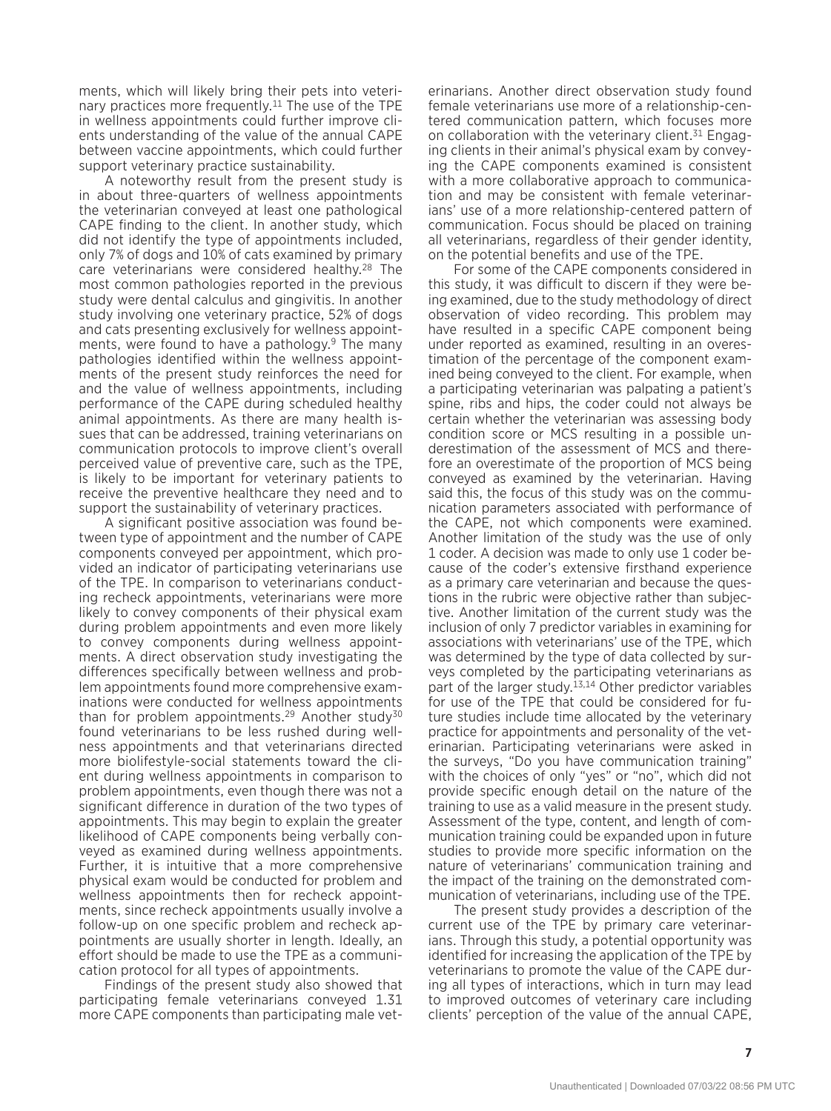ments, which will likely bring their pets into veterinary practices more frequently.11 The use of the TPE in wellness appointments could further improve clients understanding of the value of the annual CAPE between vaccine appointments, which could further support veterinary practice sustainability.

A noteworthy result from the present study is in about three-quarters of wellness appointments the veterinarian conveyed at least one pathological CAPE finding to the client. In another study, which did not identify the type of appointments included, only 7% of dogs and 10% of cats examined by primary care veterinarians were considered healthy.28 The most common pathologies reported in the previous study were dental calculus and gingivitis. In another study involving one veterinary practice, 52% of dogs and cats presenting exclusively for wellness appointments, were found to have a pathology.9 The many pathologies identified within the wellness appointments of the present study reinforces the need for and the value of wellness appointments, including performance of the CAPE during scheduled healthy animal appointments. As there are many health issues that can be addressed, training veterinarians on communication protocols to improve client's overall perceived value of preventive care, such as the TPE, is likely to be important for veterinary patients to receive the preventive healthcare they need and to support the sustainability of veterinary practices.

A significant positive association was found between type of appointment and the number of CAPE components conveyed per appointment, which provided an indicator of participating veterinarians use of the TPE. In comparison to veterinarians conducting recheck appointments, veterinarians were more likely to convey components of their physical exam during problem appointments and even more likely to convey components during wellness appointments. A direct observation study investigating the differences specifically between wellness and problem appointments found more comprehensive examinations were conducted for wellness appointments than for problem appointments.<sup>29</sup> Another study<sup>30</sup> found veterinarians to be less rushed during wellness appointments and that veterinarians directed more biolifestyle-social statements toward the client during wellness appointments in comparison to problem appointments, even though there was not a significant difference in duration of the two types of appointments. This may begin to explain the greater likelihood of CAPE components being verbally conveyed as examined during wellness appointments. Further, it is intuitive that a more comprehensive physical exam would be conducted for problem and wellness appointments then for recheck appointments, since recheck appointments usually involve a follow-up on one specific problem and recheck appointments are usually shorter in length. Ideally, an effort should be made to use the TPE as a communication protocol for all types of appointments.

Findings of the present study also showed that participating female veterinarians conveyed 1.31 more CAPE components than participating male veterinarians. Another direct observation study found female veterinarians use more of a relationship-centered communication pattern, which focuses more on collaboration with the veterinary client.<sup>31</sup> Engaging clients in their animal's physical exam by conveying the CAPE components examined is consistent with a more collaborative approach to communication and may be consistent with female veterinarians' use of a more relationship-centered pattern of communication. Focus should be placed on training all veterinarians, regardless of their gender identity, on the potential benefits and use of the TPE.

For some of the CAPE components considered in this study, it was difficult to discern if they were being examined, due to the study methodology of direct observation of video recording. This problem may have resulted in a specific CAPE component being under reported as examined, resulting in an overestimation of the percentage of the component examined being conveyed to the client. For example, when a participating veterinarian was palpating a patient's spine, ribs and hips, the coder could not always be certain whether the veterinarian was assessing body condition score or MCS resulting in a possible underestimation of the assessment of MCS and therefore an overestimate of the proportion of MCS being conveyed as examined by the veterinarian. Having said this, the focus of this study was on the communication parameters associated with performance of the CAPE, not which components were examined. Another limitation of the study was the use of only 1 coder. A decision was made to only use 1 coder because of the coder's extensive firsthand experience as a primary care veterinarian and because the questions in the rubric were objective rather than subjective. Another limitation of the current study was the inclusion of only 7 predictor variables in examining for associations with veterinarians' use of the TPE, which was determined by the type of data collected by surveys completed by the participating veterinarians as part of the larger study.13,14 Other predictor variables for use of the TPE that could be considered for future studies include time allocated by the veterinary practice for appointments and personality of the veterinarian. Participating veterinarians were asked in the surveys, "Do you have communication training" with the choices of only "yes" or "no", which did not provide specific enough detail on the nature of the training to use as a valid measure in the present study. Assessment of the type, content, and length of communication training could be expanded upon in future studies to provide more specific information on the nature of veterinarians' communication training and the impact of the training on the demonstrated communication of veterinarians, including use of the TPE.

The present study provides a description of the current use of the TPE by primary care veterinarians. Through this study, a potential opportunity was identified for increasing the application of the TPE by veterinarians to promote the value of the CAPE during all types of interactions, which in turn may lead to improved outcomes of veterinary care including clients' perception of the value of the annual CAPE,